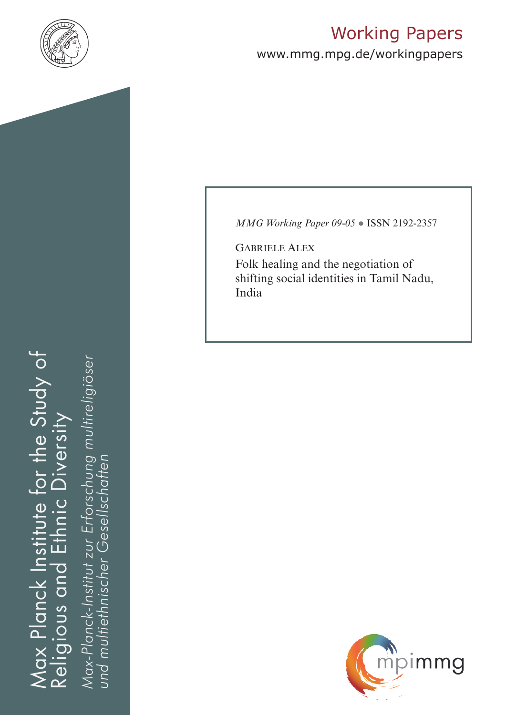

# Working Papers

www.mmg.mpg.de/workingpapers

Max Planck Institute for the Study of Religious and Ethnic Diversity ax Planck Institute for the Study of nic Diversity 击 Religious and

*Max-Planck-Institut zur Erforschung multireligiöser*  Max-Planck-Institut zur Erforschung multireligiöser<br>und multiethnischer Gesellschaften *und multiethnischer Gesellschaften*

*MMG Working Paper 09-05* ● ISSN 2192-2357

Gabriele Alex Folk healing and the negotiation of shifting social identities in Tamil Nadu, India

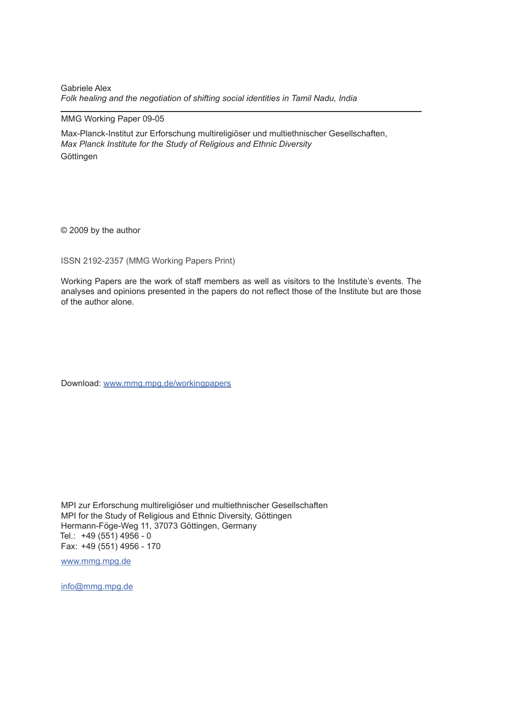Gabriele Alex *Folk healing and the negotiation of shifting social identities in Tamil Nadu, India*

#### MMG Working Paper 09-05

Max-Planck-Institut zur Erforschung multireligiöser und multiethnischer Gesellschaften, *Max Planck Institute for the Study of Religious and Ethnic Diversity* **Göttingen** 

© 2009 by the author

ISSN 2192-2357 (MMG Working Papers Print)

Working Papers are the work of staff members as well as visitors to the Institute's events. The analyses and opinions presented in the papers do not reflect those of the Institute but are those of the author alone.

Download: www.mmg.mpg.de/workingpapers

MPI zur Erforschung multireligiöser und multiethnischer Gesellschaften MPI for the Study of Religious and Ethnic Diversity, Göttingen Hermann-Föge-Weg 11, 37073 Göttingen, Germany Tel.: +49 (551) 4956 - 0 Fax: +49 (551) 4956 - 170

www.mmg.mpg.de

info@mmg.mpg.de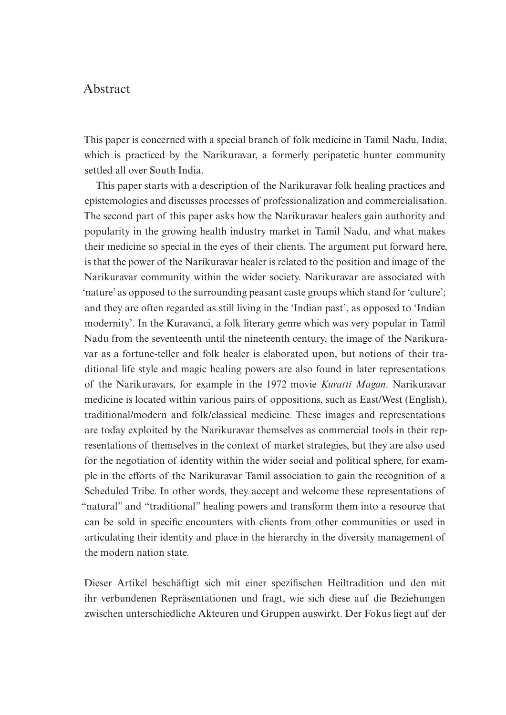#### Abstract

This paper is concerned with a special branch of folk medicine in Tamil Nadu, India, which is practiced by the Narikuravar, a formerly peripatetic hunter community settled all over South India.

This paper starts with a description of the Narikuravar folk healing practices and epistemologies and discusses processes of professionalization and commercialisation. The second part of this paper asks how the Narikuravar healers gain authority and popularity in the growing health industry market in Tamil Nadu, and what makes their medicine so special in the eyes of their clients. The argument put forward here, is that the power of the Narikuravar healer is related to the position and image of the Narikuravar community within the wider society. Narikuravar are associated with 'nature' as opposed to the surrounding peasant caste groups which stand for 'culture'; and they are often regarded as still living in the 'Indian past', as opposed to 'Indian modernity'. In the Kuravanci, a folk literary genre which was very popular in Tamil Nadu from the seventeenth until the nineteenth century, the image of the Narikuravar as a fortune-teller and folk healer is elaborated upon, but notions of their traditional life style and magic healing powers are also found in later representations of the Narikuravars, for example in the 1972 movie *Kuratti Magan*. Narikuravar medicine is located within various pairs of oppositions, such as East/West (English), traditional/modern and folk/classical medicine. These images and representations are today exploited by the Narikuravar themselves as commercial tools in their representations of themselves in the context of market strategies, but they are also used for the negotiation of identity within the wider social and political sphere, for example in the efforts of the Narikuravar Tamil association to gain the recognition of a Scheduled Tribe. In other words, they accept and welcome these representations of "natural" and "traditional" healing powers and transform them into a resource that can be sold in specific encounters with clients from other communities or used in articulating their identity and place in the hierarchy in the diversity management of the modern nation state.

Dieser Artikel beschäftigt sich mit einer spezifischen Heiltradition und den mit ihr verbundenen Repräsentationen und fragt, wie sich diese auf die Beziehungen zwischen unterschiedliche Akteuren und Gruppen auswirkt. Der Fokus liegt auf der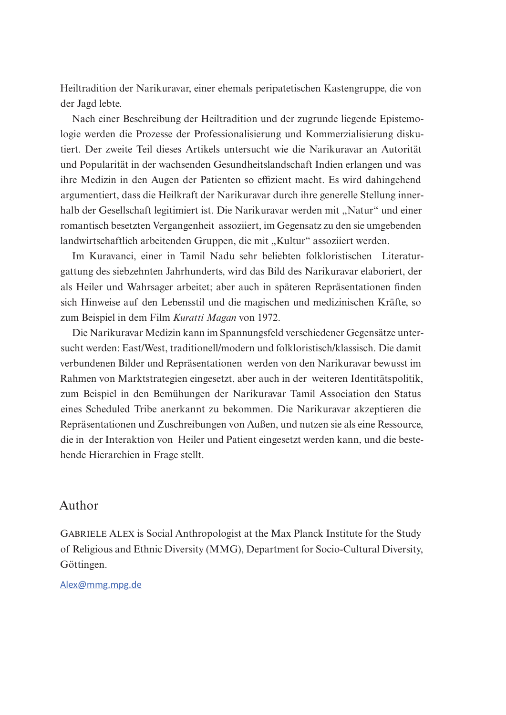Heiltradition der Narikuravar, einer ehemals peripatetischen Kastengruppe, die von der Jagd lebte.

Nach einer Beschreibung der Heiltradition und der zugrunde liegende Epistemologie werden die Prozesse der Professionalisierung und Kommerzialisierung diskutiert. Der zweite Teil dieses Artikels untersucht wie die Narikuravar an Autorität und Popularität in der wachsenden Gesundheitslandschaft Indien erlangen und was ihre Medizin in den Augen der Patienten so effizient macht. Es wird dahingehend argumentiert, dass die Heilkraft der Narikuravar durch ihre generelle Stellung innerhalb der Gesellschaft legitimiert ist. Die Narikuravar werden mit "Natur" und einer romantisch besetzten Vergangenheit assoziiert, im Gegensatz zu den sie umgebenden landwirtschaftlich arbeitenden Gruppen, die mit "Kultur" assoziiert werden.

Im Kuravanci, einer in Tamil Nadu sehr beliebten folkloristischen Literaturgattung des siebzehnten Jahrhunderts, wird das Bild des Narikuravar elaboriert, der als Heiler und Wahrsager arbeitet; aber auch in späteren Repräsentationen finden sich Hinweise auf den Lebensstil und die magischen und medizinischen Kräfte, so zum Beispiel in dem Film *Kuratti Magan* von 1972.

Die Narikuravar Medizin kann im Spannungsfeld verschiedener Gegensätze untersucht werden: East/West, traditionell/modern und folkloristisch/klassisch. Die damit verbundenen Bilder und Repräsentationen werden von den Narikuravar bewusst im Rahmen von Marktstrategien eingesetzt, aber auch in der weiteren Identitätspolitik, zum Beispiel in den Bemühungen der Narikuravar Tamil Association den Status eines Scheduled Tribe anerkannt zu bekommen. Die Narikuravar akzeptieren die Repräsentationen und Zuschreibungen von Außen, und nutzen sie als eine Ressource, die in der Interaktion von Heiler und Patient eingesetzt werden kann, und die bestehende Hierarchien in Frage stellt.

#### Author

Gabriele Alex is Social Anthropologist at the Max Planck Institute for the Study of Religious and Ethnic Diversity (MMG), Department for Socio-Cultural Diversity, Göttingen.

Alex@mmg.mpg.de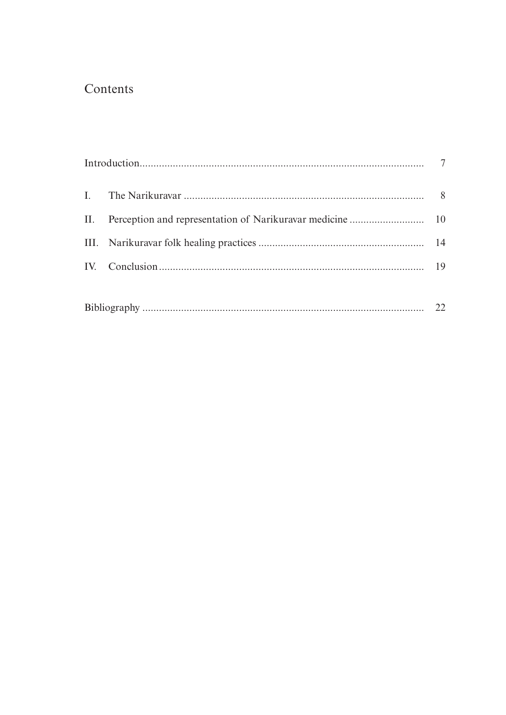## Contents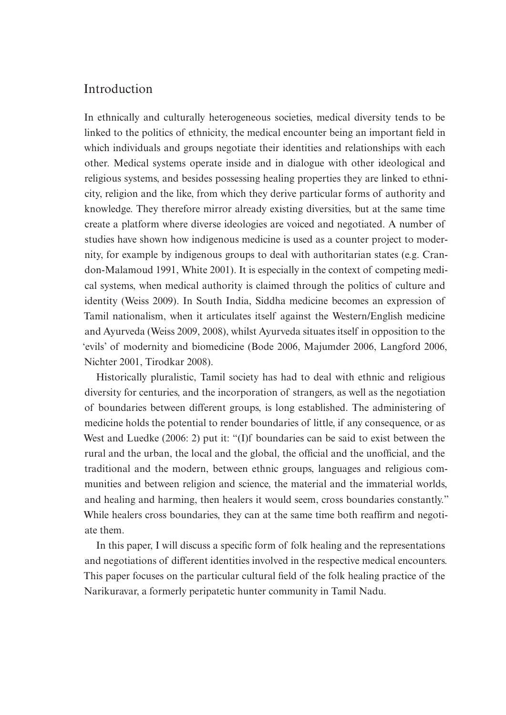#### Introduction

In ethnically and culturally heterogeneous societies, medical diversity tends to be linked to the politics of ethnicity, the medical encounter being an important field in which individuals and groups negotiate their identities and relationships with each other. Medical systems operate inside and in dialogue with other ideological and religious systems, and besides possessing healing properties they are linked to ethnicity, religion and the like, from which they derive particular forms of authority and knowledge. They therefore mirror already existing diversities, but at the same time create a platform where diverse ideologies are voiced and negotiated. A number of studies have shown how indigenous medicine is used as a counter project to modernity, for example by indigenous groups to deal with authoritarian states (e.g. Crandon-Malamoud 1991, White 2001). It is especially in the context of competing medical systems, when medical authority is claimed through the politics of culture and identity (Weiss 2009). In South India, Siddha medicine becomes an expression of Tamil nationalism, when it articulates itself against the Western/English medicine and Ayurveda (Weiss 2009, 2008), whilst Ayurveda situates itself in opposition to the 'evils' of modernity and biomedicine (Bode 2006, Majumder 2006, Langford 2006, Nichter 2001, Tirodkar 2008).

Historically pluralistic, Tamil society has had to deal with ethnic and religious diversity for centuries, and the incorporation of strangers, as well as the negotiation of boundaries between different groups, is long established. The administering of medicine holds the potential to render boundaries of little, if any consequence, or as West and Luedke (2006: 2) put it: "(I)f boundaries can be said to exist between the rural and the urban, the local and the global, the official and the unofficial, and the traditional and the modern, between ethnic groups, languages and religious communities and between religion and science, the material and the immaterial worlds, and healing and harming, then healers it would seem, cross boundaries constantly." While healers cross boundaries, they can at the same time both reaffirm and negotiate them.

In this paper, I will discuss a specific form of folk healing and the representations and negotiations of different identities involved in the respective medical encounters. This paper focuses on the particular cultural field of the folk healing practice of the Narikuravar, a formerly peripatetic hunter community in Tamil Nadu.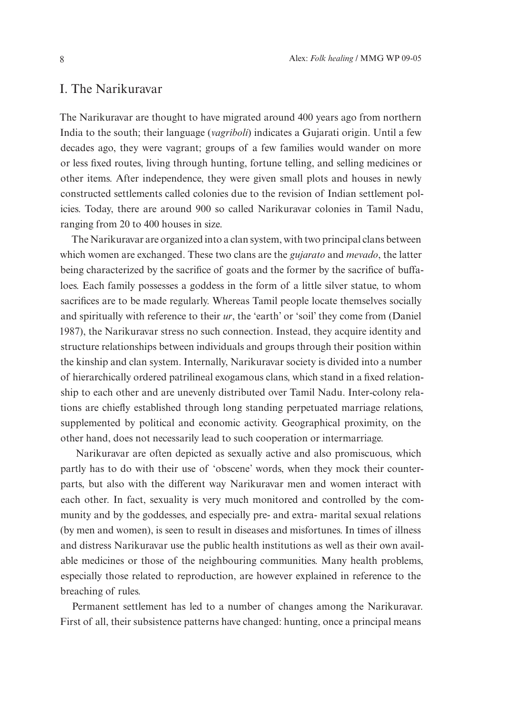#### I. The Narikuravar

The Narikuravar are thought to have migrated around 400 years ago from northern India to the south; their language (*vagriboli*) indicates a Gujarati origin. Until a few decades ago, they were vagrant; groups of a few families would wander on more or less fixed routes, living through hunting, fortune telling, and selling medicines or other items. After independence, they were given small plots and houses in newly constructed settlements called colonies due to the revision of Indian settlement policies. Today, there are around 900 so called Narikuravar colonies in Tamil Nadu, ranging from 20 to 400 houses in size.

The Narikuravar are organized into a clan system, with two principal clans between which women are exchanged. These two clans are the *gujarato* and *mevado*, the latter being characterized by the sacrifice of goats and the former by the sacrifice of buffaloes. Each family possesses a goddess in the form of a little silver statue, to whom sacrifices are to be made regularly. Whereas Tamil people locate themselves socially and spiritually with reference to their *ur*, the 'earth' or 'soil' they come from (Daniel 1987), the Narikuravar stress no such connection. Instead, they acquire identity and structure relationships between individuals and groups through their position within the kinship and clan system. Internally, Narikuravar society is divided into a number of hierarchically ordered patrilineal exogamous clans, which stand in a fixed relationship to each other and are unevenly distributed over Tamil Nadu. Inter-colony relations are chiefly established through long standing perpetuated marriage relations, supplemented by political and economic activity. Geographical proximity, on the other hand, does not necessarily lead to such cooperation or intermarriage.

 Narikuravar are often depicted as sexually active and also promiscuous, which partly has to do with their use of 'obscene' words, when they mock their counterparts, but also with the different way Narikuravar men and women interact with each other. In fact, sexuality is very much monitored and controlled by the community and by the goddesses, and especially pre- and extra- marital sexual relations (by men and women), is seen to result in diseases and misfortunes. In times of illness and distress Narikuravar use the public health institutions as well as their own available medicines or those of the neighbouring communities. Many health problems, especially those related to reproduction, are however explained in reference to the breaching of rules.

Permanent settlement has led to a number of changes among the Narikuravar. First of all, their subsistence patterns have changed: hunting, once a principal means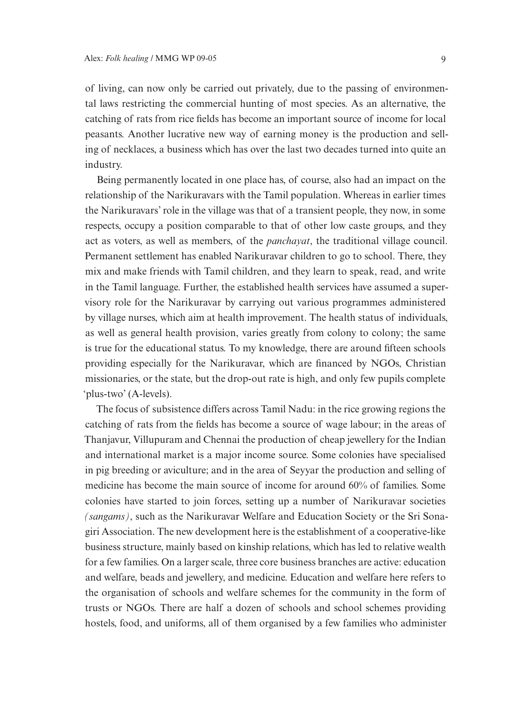of living, can now only be carried out privately, due to the passing of environmental laws restricting the commercial hunting of most species. As an alternative, the catching of rats from rice fields has become an important source of income for local peasants. Another lucrative new way of earning money is the production and selling of necklaces, a business which has over the last two decades turned into quite an industry.

Being permanently located in one place has, of course, also had an impact on the relationship of the Narikuravars with the Tamil population. Whereas in earlier times the Narikuravars' role in the village was that of a transient people, they now, in some respects, occupy a position comparable to that of other low caste groups, and they act as voters, as well as members, of the *panchayat*, the traditional village council. Permanent settlement has enabled Narikuravar children to go to school. There, they mix and make friends with Tamil children, and they learn to speak, read, and write in the Tamil language. Further, the established health services have assumed a supervisory role for the Narikuravar by carrying out various programmes administered by village nurses, which aim at health improvement. The health status of individuals, as well as general health provision, varies greatly from colony to colony; the same is true for the educational status. To my knowledge, there are around fifteen schools providing especially for the Narikuravar, which are financed by NGOs, Christian missionaries, or the state, but the drop-out rate is high, and only few pupils complete 'plus-two' (A-levels).

The focus of subsistence differs across Tamil Nadu: in the rice growing regions the catching of rats from the fields has become a source of wage labour; in the areas of Thanjavur, Villupuram and Chennai the production of cheap jewellery for the Indian and international market is a major income source. Some colonies have specialised in pig breeding or aviculture; and in the area of Seyyar the production and selling of medicine has become the main source of income for around 60% of families. Some colonies have started to join forces, setting up a number of Narikuravar societies *(sangams)*, such as the Narikuravar Welfare and Education Society or the Sri Sonagiri Association. The new development here is the establishment of a cooperative-like business structure, mainly based on kinship relations, which has led to relative wealth for a few families. On a larger scale, three core business branches are active: education and welfare, beads and jewellery, and medicine. Education and welfare here refers to the organisation of schools and welfare schemes for the community in the form of trusts or NGOs. There are half a dozen of schools and school schemes providing hostels, food, and uniforms, all of them organised by a few families who administer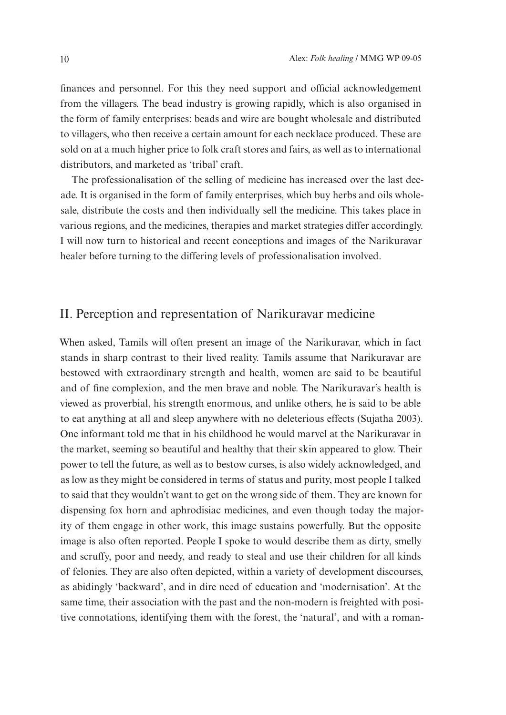finances and personnel. For this they need support and official acknowledgement from the villagers. The bead industry is growing rapidly, which is also organised in the form of family enterprises: beads and wire are bought wholesale and distributed to villagers, who then receive a certain amount for each necklace produced. These are sold on at a much higher price to folk craft stores and fairs, as well as to international distributors, and marketed as 'tribal' craft.

The professionalisation of the selling of medicine has increased over the last decade. It is organised in the form of family enterprises, which buy herbs and oils wholesale, distribute the costs and then individually sell the medicine. This takes place in various regions, and the medicines, therapies and market strategies differ accordingly. I will now turn to historical and recent conceptions and images of the Narikuravar healer before turning to the differing levels of professionalisation involved.

#### II. Perception and representation of Narikuravar medicine

When asked, Tamils will often present an image of the Narikuravar, which in fact stands in sharp contrast to their lived reality. Tamils assume that Narikuravar are bestowed with extraordinary strength and health, women are said to be beautiful and of fine complexion, and the men brave and noble. The Narikuravar's health is viewed as proverbial, his strength enormous, and unlike others, he is said to be able to eat anything at all and sleep anywhere with no deleterious effects (Sujatha 2003). One informant told me that in his childhood he would marvel at the Narikuravar in the market, seeming so beautiful and healthy that their skin appeared to glow. Their power to tell the future, as well as to bestow curses, is also widely acknowledged, and as low as they might be considered in terms of status and purity, most people I talked to said that they wouldn't want to get on the wrong side of them. They are known for dispensing fox horn and aphrodisiac medicines, and even though today the majority of them engage in other work, this image sustains powerfully. But the opposite image is also often reported. People I spoke to would describe them as dirty, smelly and scruffy, poor and needy, and ready to steal and use their children for all kinds of felonies. They are also often depicted, within a variety of development discourses, as abidingly 'backward', and in dire need of education and 'modernisation'. At the same time, their association with the past and the non-modern is freighted with positive connotations, identifying them with the forest, the 'natural', and with a roman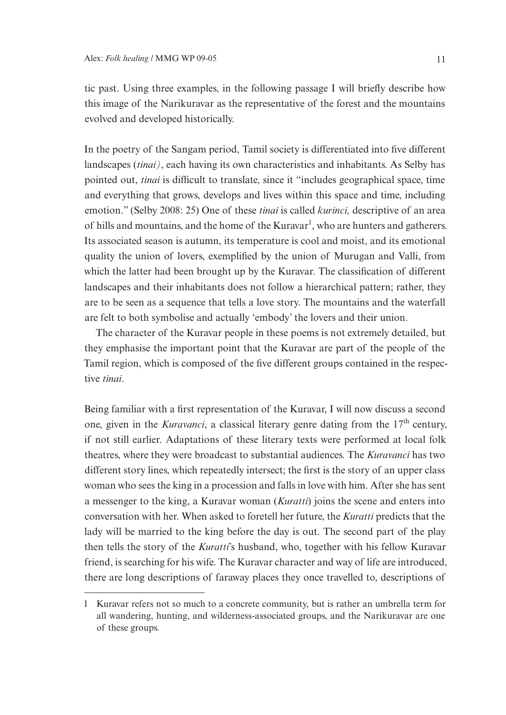tic past. Using three examples, in the following passage I will briefly describe how this image of the Narikuravar as the representative of the forest and the mountains evolved and developed historically.

In the poetry of the Sangam period, Tamil society is differentiated into five different landscapes (*tinai)*, each having its own characteristics and inhabitants. As Selby has pointed out, *tinai* is difficult to translate, since it "includes geographical space, time and everything that grows, develops and lives within this space and time, including emotion." (Selby 2008: 25) One of these *tinai* is called *kurinci,* descriptive of an area of hills and mountains, and the home of the Kuravar<sup>1</sup>, who are hunters and gatherers. Its associated season is autumn, its temperature is cool and moist, and its emotional quality the union of lovers, exemplified by the union of Murugan and Valli, from which the latter had been brought up by the Kuravar. The classification of different landscapes and their inhabitants does not follow a hierarchical pattern; rather, they are to be seen as a sequence that tells a love story. The mountains and the waterfall are felt to both symbolise and actually 'embody' the lovers and their union.

The character of the Kuravar people in these poems is not extremely detailed, but they emphasise the important point that the Kuravar are part of the people of the Tamil region, which is composed of the five different groups contained in the respective *tinai*.

Being familiar with a first representation of the Kuravar, I will now discuss a second one, given in the *Kuravanci*, a classical literary genre dating from the 17<sup>th</sup> century, if not still earlier. Adaptations of these literary texts were performed at local folk theatres, where they were broadcast to substantial audiences. The *Kuravanci* has two different story lines, which repeatedly intersect; the first is the story of an upper class woman who sees the king in a procession and falls in love with him. After she has sent a messenger to the king, a Kuravar woman (*Kuratti*) joins the scene and enters into conversation with her. When asked to foretell her future, the *Kuratti* predicts that the lady will be married to the king before the day is out. The second part of the play then tells the story of the *Kuratti*'s husband, who, together with his fellow Kuravar friend, is searching for his wife. The Kuravar character and way of life are introduced, there are long descriptions of faraway places they once travelled to, descriptions of

<sup>1</sup> Kuravar refers not so much to a concrete community, but is rather an umbrella term for all wandering, hunting, and wilderness-associated groups, and the Narikuravar are one of these groups.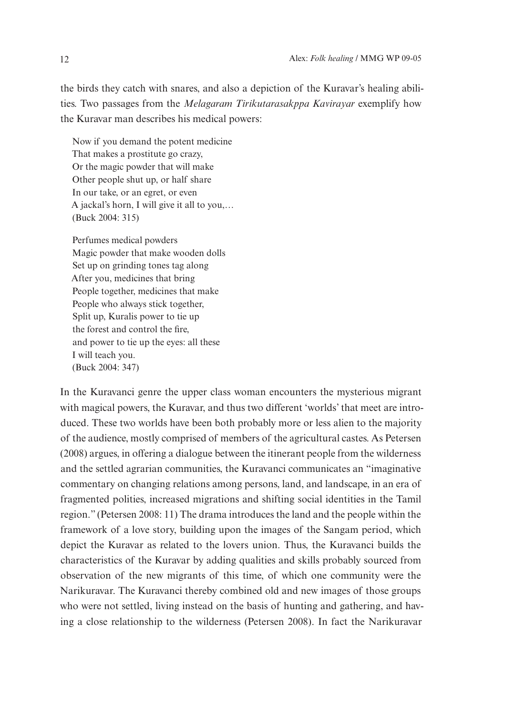the birds they catch with snares, and also a depiction of the Kuravar's healing abilities. Two passages from the *Melagaram Tirikutarasakppa Kavirayar* exemplify how the Kuravar man describes his medical powers:

Now if you demand the potent medicine That makes a prostitute go crazy, Or the magic powder that will make Other people shut up, or half share In our take, or an egret, or even A jackal's horn, I will give it all to you,… (Buck 2004: 315)

Perfumes medical powders Magic powder that make wooden dolls Set up on grinding tones tag along After you, medicines that bring People together, medicines that make People who always stick together, Split up, Kuralis power to tie up the forest and control the fire, and power to tie up the eyes: all these I will teach you. (Buck 2004: 347)

In the Kuravanci genre the upper class woman encounters the mysterious migrant with magical powers, the Kuravar, and thus two different 'worlds' that meet are introduced. These two worlds have been both probably more or less alien to the majority of the audience, mostly comprised of members of the agricultural castes. As Petersen (2008) argues, in offering a dialogue between the itinerant people from the wilderness and the settled agrarian communities, the Kuravanci communicates an "imaginative commentary on changing relations among persons, land, and landscape, in an era of fragmented polities, increased migrations and shifting social identities in the Tamil region." (Petersen 2008: 11) The drama introduces the land and the people within the framework of a love story, building upon the images of the Sangam period, which depict the Kuravar as related to the lovers union. Thus, the Kuravanci builds the characteristics of the Kuravar by adding qualities and skills probably sourced from observation of the new migrants of this time, of which one community were the Narikuravar. The Kuravanci thereby combined old and new images of those groups who were not settled, living instead on the basis of hunting and gathering, and having a close relationship to the wilderness (Petersen 2008). In fact the Narikuravar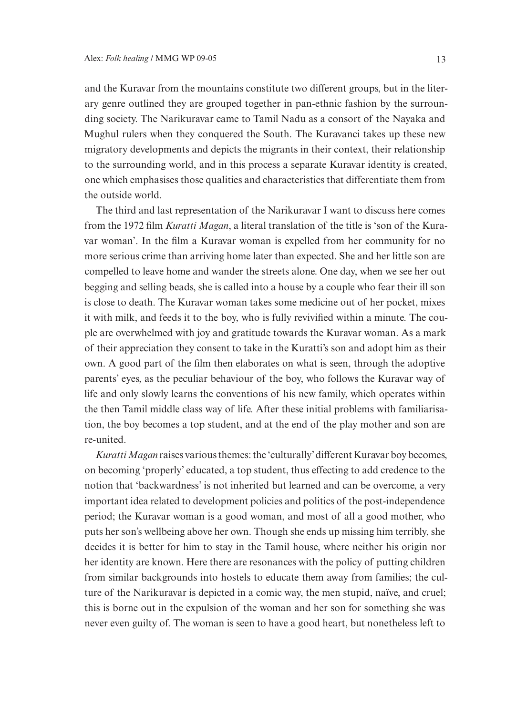and the Kuravar from the mountains constitute two different groups, but in the literary genre outlined they are grouped together in pan-ethnic fashion by the surrounding society. The Narikuravar came to Tamil Nadu as a consort of the Nayaka and Mughul rulers when they conquered the South. The Kuravanci takes up these new migratory developments and depicts the migrants in their context, their relationship to the surrounding world, and in this process a separate Kuravar identity is created, one which emphasises those qualities and characteristics that differentiate them from the outside world.

The third and last representation of the Narikuravar I want to discuss here comes from the 1972 film *Kuratti Magan*, a literal translation of the title is 'son of the Kuravar woman'. In the film a Kuravar woman is expelled from her community for no more serious crime than arriving home later than expected. She and her little son are compelled to leave home and wander the streets alone. One day, when we see her out begging and selling beads, she is called into a house by a couple who fear their ill son is close to death. The Kuravar woman takes some medicine out of her pocket, mixes it with milk, and feeds it to the boy, who is fully revivified within a minute. The couple are overwhelmed with joy and gratitude towards the Kuravar woman. As a mark of their appreciation they consent to take in the Kuratti's son and adopt him as their own. A good part of the film then elaborates on what is seen, through the adoptive parents' eyes, as the peculiar behaviour of the boy, who follows the Kuravar way of life and only slowly learns the conventions of his new family, which operates within the then Tamil middle class way of life. After these initial problems with familiarisation, the boy becomes a top student, and at the end of the play mother and son are re-united.

*Kuratti Magan* raises various themes: the 'culturally' different Kuravar boy becomes, on becoming 'properly' educated, a top student, thus effecting to add credence to the notion that 'backwardness' is not inherited but learned and can be overcome, a very important idea related to development policies and politics of the post-independence period; the Kuravar woman is a good woman, and most of all a good mother, who puts her son's wellbeing above her own. Though she ends up missing him terribly, she decides it is better for him to stay in the Tamil house, where neither his origin nor her identity are known. Here there are resonances with the policy of putting children from similar backgrounds into hostels to educate them away from families; the culture of the Narikuravar is depicted in a comic way, the men stupid, naïve, and cruel; this is borne out in the expulsion of the woman and her son for something she was never even guilty of. The woman is seen to have a good heart, but nonetheless left to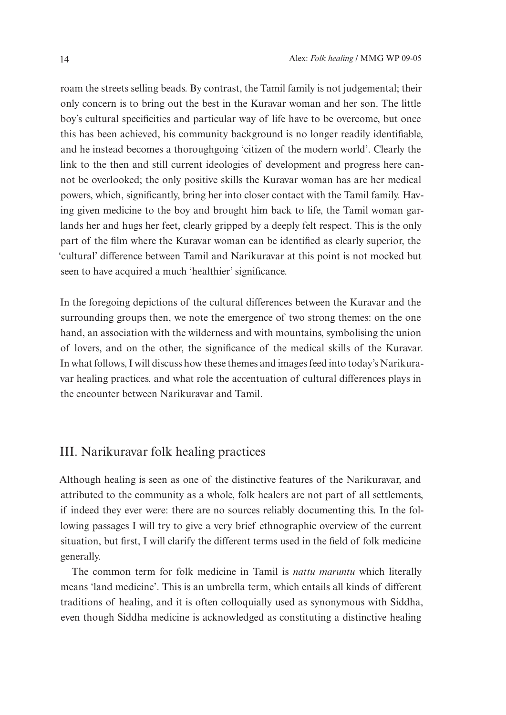roam the streets selling beads. By contrast, the Tamil family is not judgemental; their only concern is to bring out the best in the Kuravar woman and her son. The little boy's cultural specificities and particular way of life have to be overcome, but once this has been achieved, his community background is no longer readily identifiable, and he instead becomes a thoroughgoing 'citizen of the modern world'. Clearly the link to the then and still current ideologies of development and progress here cannot be overlooked; the only positive skills the Kuravar woman has are her medical powers, which, significantly, bring her into closer contact with the Tamil family. Having given medicine to the boy and brought him back to life, the Tamil woman garlands her and hugs her feet, clearly gripped by a deeply felt respect. This is the only part of the film where the Kuravar woman can be identified as clearly superior, the 'cultural' difference between Tamil and Narikuravar at this point is not mocked but seen to have acquired a much 'healthier' significance.

In the foregoing depictions of the cultural differences between the Kuravar and the surrounding groups then, we note the emergence of two strong themes: on the one hand, an association with the wilderness and with mountains, symbolising the union of lovers, and on the other, the significance of the medical skills of the Kuravar. In what follows, I will discuss how these themes and images feed into today's Narikuravar healing practices, and what role the accentuation of cultural differences plays in the encounter between Narikuravar and Tamil.

### III. Narikuravar folk healing practices

Although healing is seen as one of the distinctive features of the Narikuravar, and attributed to the community as a whole, folk healers are not part of all settlements, if indeed they ever were: there are no sources reliably documenting this. In the following passages I will try to give a very brief ethnographic overview of the current situation, but first, I will clarify the different terms used in the field of folk medicine generally.

The common term for folk medicine in Tamil is *nattu maruntu* which literally means 'land medicine'. This is an umbrella term, which entails all kinds of different traditions of healing, and it is often colloquially used as synonymous with Siddha, even though Siddha medicine is acknowledged as constituting a distinctive healing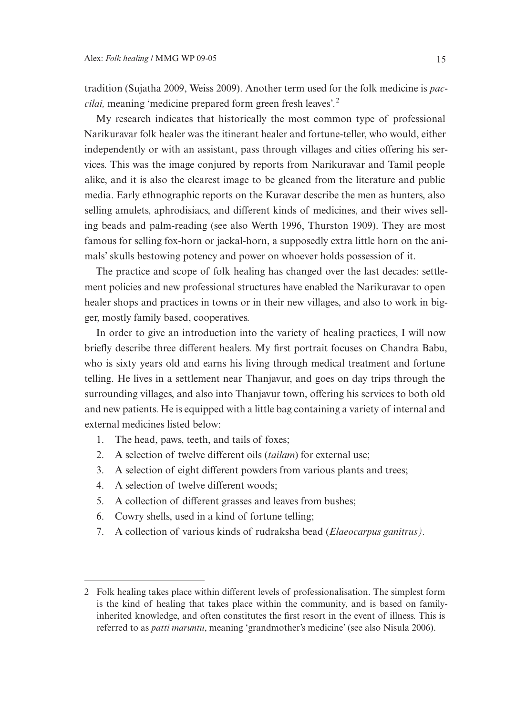tradition (Sujatha 2009, Weiss 2009). Another term used for the folk medicine is *paccilai,* meaning 'medicine prepared form green fresh leaves'*.* 2

My research indicates that historically the most common type of professional Narikuravar folk healer was the itinerant healer and fortune-teller, who would, either independently or with an assistant, pass through villages and cities offering his services. This was the image conjured by reports from Narikuravar and Tamil people alike, and it is also the clearest image to be gleaned from the literature and public media. Early ethnographic reports on the Kuravar describe the men as hunters, also selling amulets, aphrodisiacs, and different kinds of medicines, and their wives selling beads and palm-reading (see also Werth 1996, Thurston 1909). They are most famous for selling fox-horn or jackal-horn, a supposedly extra little horn on the animals' skulls bestowing potency and power on whoever holds possession of it.

The practice and scope of folk healing has changed over the last decades: settlement policies and new professional structures have enabled the Narikuravar to open healer shops and practices in towns or in their new villages, and also to work in bigger, mostly family based, cooperatives.

In order to give an introduction into the variety of healing practices, I will now briefly describe three different healers. My first portrait focuses on Chandra Babu, who is sixty years old and earns his living through medical treatment and fortune telling. He lives in a settlement near Thanjavur, and goes on day trips through the surrounding villages, and also into Thanjavur town, offering his services to both old and new patients. He is equipped with a little bag containing a variety of internal and external medicines listed below:

- 1. The head, paws, teeth, and tails of foxes;
- 2. A selection of twelve different oils (*tailam*) for external use;
- 3. A selection of eight different powders from various plants and trees;
- 4. A selection of twelve different woods;
- 5. A collection of different grasses and leaves from bushes;
- 6. Cowry shells, used in a kind of fortune telling;
- 7. A collection of various kinds of rudraksha bead (*Elaeocarpus ganitrus).*

<sup>2</sup> Folk healing takes place within different levels of professionalisation. The simplest form is the kind of healing that takes place within the community, and is based on familyinherited knowledge, and often constitutes the first resort in the event of illness. This is referred to as *patti maruntu*, meaning 'grandmother's medicine' (see also Nisula 2006).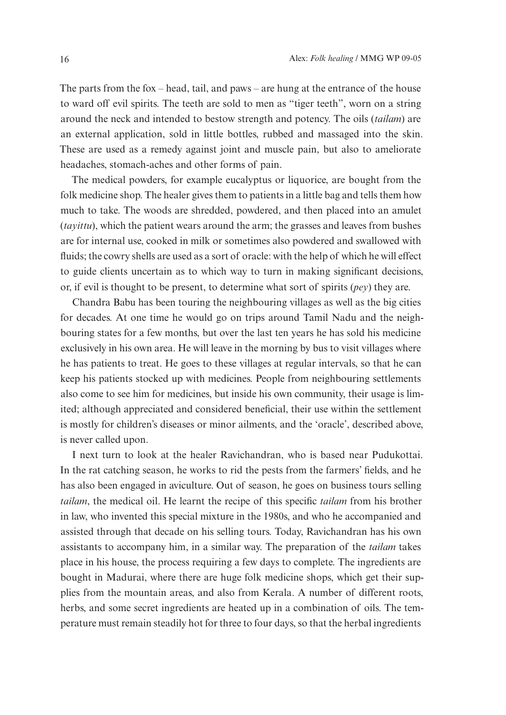The parts from the fox – head, tail, and paws – are hung at the entrance of the house to ward off evil spirits. The teeth are sold to men as "tiger teeth", worn on a string around the neck and intended to bestow strength and potency. The oils (*tailam*) are an external application, sold in little bottles, rubbed and massaged into the skin. These are used as a remedy against joint and muscle pain, but also to ameliorate headaches, stomach-aches and other forms of pain.

The medical powders, for example eucalyptus or liquorice, are bought from the folk medicine shop. The healer gives them to patients in a little bag and tells them how much to take. The woods are shredded, powdered, and then placed into an amulet (*tayittu*), which the patient wears around the arm; the grasses and leaves from bushes are for internal use, cooked in milk or sometimes also powdered and swallowed with fluids; the cowry shells are used as a sort of oracle: with the help of which he will effect to guide clients uncertain as to which way to turn in making significant decisions, or, if evil is thought to be present, to determine what sort of spirits (*pey*) they are.

Chandra Babu has been touring the neighbouring villages as well as the big cities for decades. At one time he would go on trips around Tamil Nadu and the neighbouring states for a few months, but over the last ten years he has sold his medicine exclusively in his own area. He will leave in the morning by bus to visit villages where he has patients to treat. He goes to these villages at regular intervals, so that he can keep his patients stocked up with medicines. People from neighbouring settlements also come to see him for medicines, but inside his own community, their usage is limited; although appreciated and considered beneficial, their use within the settlement is mostly for children's diseases or minor ailments, and the 'oracle', described above, is never called upon.

I next turn to look at the healer Ravichandran, who is based near Pudukottai. In the rat catching season, he works to rid the pests from the farmers' fields, and he has also been engaged in aviculture. Out of season, he goes on business tours selling *tailam*, the medical oil. He learnt the recipe of this specific *tailam* from his brother in law, who invented this special mixture in the 1980s, and who he accompanied and assisted through that decade on his selling tours. Today, Ravichandran has his own assistants to accompany him, in a similar way. The preparation of the *tailam* takes place in his house, the process requiring a few days to complete. The ingredients are bought in Madurai, where there are huge folk medicine shops, which get their supplies from the mountain areas, and also from Kerala. A number of different roots, herbs, and some secret ingredients are heated up in a combination of oils. The temperature must remain steadily hot for three to four days, so that the herbal ingredients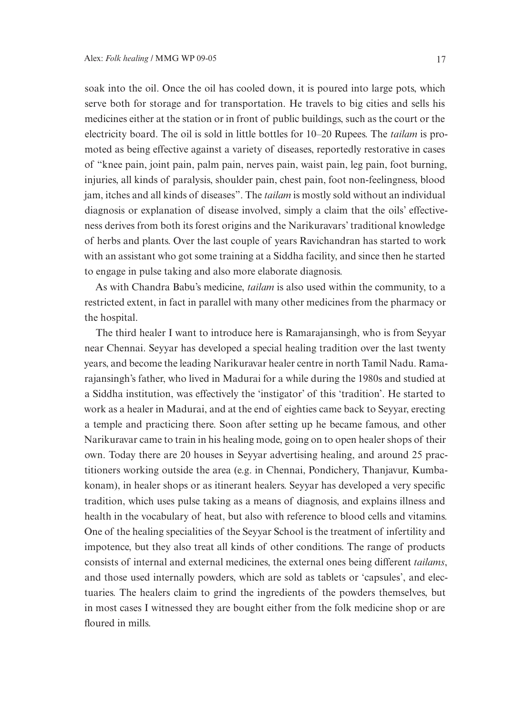soak into the oil. Once the oil has cooled down, it is poured into large pots, which serve both for storage and for transportation. He travels to big cities and sells his medicines either at the station or in front of public buildings, such as the court or the electricity board. The oil is sold in little bottles for 10–20 Rupees. The *tailam* is promoted as being effective against a variety of diseases, reportedly restorative in cases of "knee pain, joint pain, palm pain, nerves pain, waist pain, leg pain, foot burning, injuries, all kinds of paralysis, shoulder pain, chest pain, foot non-feelingness, blood jam, itches and all kinds of diseases". The *tailam* is mostly sold without an individual diagnosis or explanation of disease involved, simply a claim that the oils' effectiveness derives from both its forest origins and the Narikuravars' traditional knowledge of herbs and plants. Over the last couple of years Ravichandran has started to work with an assistant who got some training at a Siddha facility, and since then he started to engage in pulse taking and also more elaborate diagnosis.

As with Chandra Babu's medicine, *tailam* is also used within the community, to a restricted extent, in fact in parallel with many other medicines from the pharmacy or the hospital.

The third healer I want to introduce here is Ramarajansingh, who is from Seyyar near Chennai. Seyyar has developed a special healing tradition over the last twenty years, and become the leading Narikuravar healer centre in north Tamil Nadu. Ramarajansingh's father, who lived in Madurai for a while during the 1980s and studied at a Siddha institution, was effectively the 'instigator' of this 'tradition'. He started to work as a healer in Madurai, and at the end of eighties came back to Seyyar, erecting a temple and practicing there. Soon after setting up he became famous, and other Narikuravar came to train in his healing mode, going on to open healer shops of their own. Today there are 20 houses in Seyyar advertising healing, and around 25 practitioners working outside the area (e.g. in Chennai, Pondichery, Thanjavur, Kumbakonam), in healer shops or as itinerant healers. Seyyar has developed a very specific tradition, which uses pulse taking as a means of diagnosis, and explains illness and health in the vocabulary of heat, but also with reference to blood cells and vitamins. One of the healing specialities of the Seyyar School is the treatment of infertility and impotence, but they also treat all kinds of other conditions. The range of products consists of internal and external medicines, the external ones being different *tailams*, and those used internally powders, which are sold as tablets or 'capsules', and electuaries. The healers claim to grind the ingredients of the powders themselves, but in most cases I witnessed they are bought either from the folk medicine shop or are floured in mills.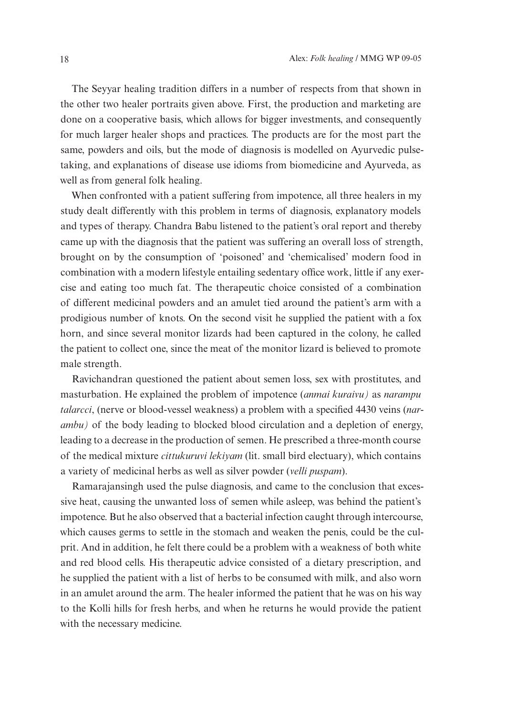The Seyyar healing tradition differs in a number of respects from that shown in the other two healer portraits given above. First, the production and marketing are done on a cooperative basis, which allows for bigger investments, and consequently for much larger healer shops and practices. The products are for the most part the same, powders and oils, but the mode of diagnosis is modelled on Ayurvedic pulsetaking, and explanations of disease use idioms from biomedicine and Ayurveda, as well as from general folk healing.

When confronted with a patient suffering from impotence, all three healers in my study dealt differently with this problem in terms of diagnosis, explanatory models and types of therapy. Chandra Babu listened to the patient's oral report and thereby came up with the diagnosis that the patient was suffering an overall loss of strength, brought on by the consumption of 'poisoned' and 'chemicalised' modern food in combination with a modern lifestyle entailing sedentary office work, little if any exercise and eating too much fat. The therapeutic choice consisted of a combination of different medicinal powders and an amulet tied around the patient's arm with a prodigious number of knots. On the second visit he supplied the patient with a fox horn, and since several monitor lizards had been captured in the colony, he called the patient to collect one, since the meat of the monitor lizard is believed to promote male strength.

Ravichandran questioned the patient about semen loss, sex with prostitutes, and masturbation. He explained the problem of impotence (*anmai kuraivu)* as *narampu talarcci*, (nerve or blood-vessel weakness) a problem with a specified 4430 veins (*narambu)* of the body leading to blocked blood circulation and a depletion of energy, leading to a decrease in the production of semen. He prescribed a three-month course of the medical mixture *cittukuruvi lekiyam* (lit. small bird electuary), which contains a variety of medicinal herbs as well as silver powder (*velli puspam*).

Ramarajansingh used the pulse diagnosis, and came to the conclusion that excessive heat, causing the unwanted loss of semen while asleep, was behind the patient's impotence. But he also observed that a bacterial infection caught through intercourse, which causes germs to settle in the stomach and weaken the penis, could be the culprit. And in addition, he felt there could be a problem with a weakness of both white and red blood cells. His therapeutic advice consisted of a dietary prescription, and he supplied the patient with a list of herbs to be consumed with milk, and also worn in an amulet around the arm. The healer informed the patient that he was on his way to the Kolli hills for fresh herbs, and when he returns he would provide the patient with the necessary medicine.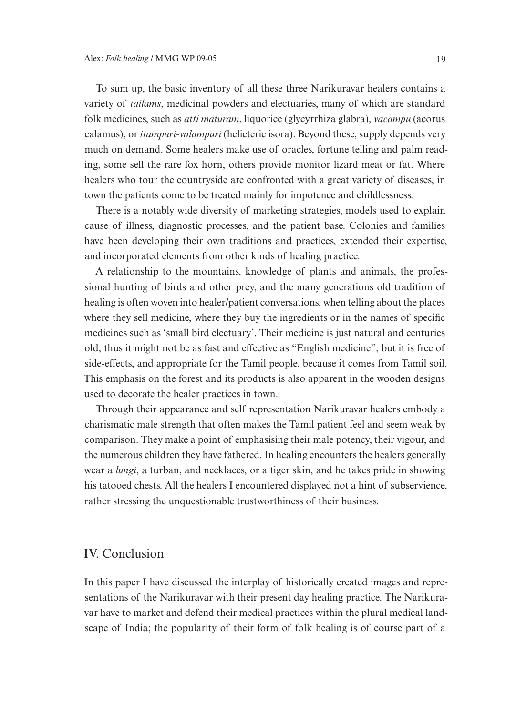To sum up, the basic inventory of all these three Narikuravar healers contains a variety of *tailams*, medicinal powders and electuaries, many of which are standard folk medicines, such as *atti maturam*, liquorice (glycyrrhiza glabra), *vacampu* (acorus calamus), or *itampuri-valampuri* (helicteric isora). Beyond these, supply depends very much on demand. Some healers make use of oracles, fortune telling and palm reading, some sell the rare fox horn, others provide monitor lizard meat or fat. Where healers who tour the countryside are confronted with a great variety of diseases, in town the patients come to be treated mainly for impotence and childlessness.

There is a notably wide diversity of marketing strategies, models used to explain cause of illness, diagnostic processes, and the patient base. Colonies and families have been developing their own traditions and practices, extended their expertise, and incorporated elements from other kinds of healing practice.

A relationship to the mountains, knowledge of plants and animals, the professional hunting of birds and other prey, and the many generations old tradition of healing is often woven into healer/patient conversations, when telling about the places where they sell medicine, where they buy the ingredients or in the names of specific medicines such as 'small bird electuary'. Their medicine is just natural and centuries old, thus it might not be as fast and effective as "English medicine"; but it is free of side-effects, and appropriate for the Tamil people, because it comes from Tamil soil. This emphasis on the forest and its products is also apparent in the wooden designs used to decorate the healer practices in town.

Through their appearance and self representation Narikuravar healers embody a charismatic male strength that often makes the Tamil patient feel and seem weak by comparison. They make a point of emphasising their male potency, their vigour, and the numerous children they have fathered. In healing encounters the healers generally wear a *lungi*, a turban, and necklaces, or a tiger skin, and he takes pride in showing his tatooed chests. All the healers I encountered displayed not a hint of subservience, rather stressing the unquestionable trustworthiness of their business.

#### IV. Conclusion

In this paper I have discussed the interplay of historically created images and representations of the Narikuravar with their present day healing practice. The Narikuravar have to market and defend their medical practices within the plural medical landscape of India; the popularity of their form of folk healing is of course part of a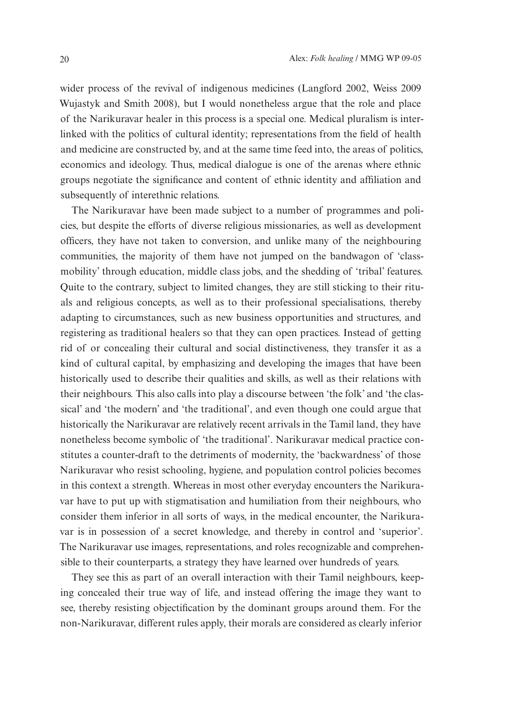wider process of the revival of indigenous medicines (Langford 2002, Weiss 2009 Wujastyk and Smith 2008), but I would nonetheless argue that the role and place of the Narikuravar healer in this process is a special one. Medical pluralism is interlinked with the politics of cultural identity; representations from the field of health and medicine are constructed by, and at the same time feed into, the areas of politics, economics and ideology. Thus, medical dialogue is one of the arenas where ethnic groups negotiate the significance and content of ethnic identity and affiliation and subsequently of interethnic relations.

The Narikuravar have been made subject to a number of programmes and policies, but despite the efforts of diverse religious missionaries, as well as development officers, they have not taken to conversion, and unlike many of the neighbouring communities, the majority of them have not jumped on the bandwagon of 'classmobility' through education, middle class jobs, and the shedding of 'tribal' features. Quite to the contrary, subject to limited changes, they are still sticking to their rituals and religious concepts, as well as to their professional specialisations, thereby adapting to circumstances, such as new business opportunities and structures, and registering as traditional healers so that they can open practices. Instead of getting rid of or concealing their cultural and social distinctiveness, they transfer it as a kind of cultural capital, by emphasizing and developing the images that have been historically used to describe their qualities and skills, as well as their relations with their neighbours. This also calls into play a discourse between 'the folk' and 'the classical' and 'the modern' and 'the traditional', and even though one could argue that historically the Narikuravar are relatively recent arrivals in the Tamil land, they have nonetheless become symbolic of 'the traditional'. Narikuravar medical practice constitutes a counter-draft to the detriments of modernity, the 'backwardness' of those Narikuravar who resist schooling, hygiene, and population control policies becomes in this context a strength. Whereas in most other everyday encounters the Narikuravar have to put up with stigmatisation and humiliation from their neighbours, who consider them inferior in all sorts of ways, in the medical encounter, the Narikuravar is in possession of a secret knowledge, and thereby in control and 'superior'. The Narikuravar use images, representations, and roles recognizable and comprehensible to their counterparts, a strategy they have learned over hundreds of years.

They see this as part of an overall interaction with their Tamil neighbours, keeping concealed their true way of life, and instead offering the image they want to see, thereby resisting objectification by the dominant groups around them. For the non-Narikuravar, different rules apply, their morals are considered as clearly inferior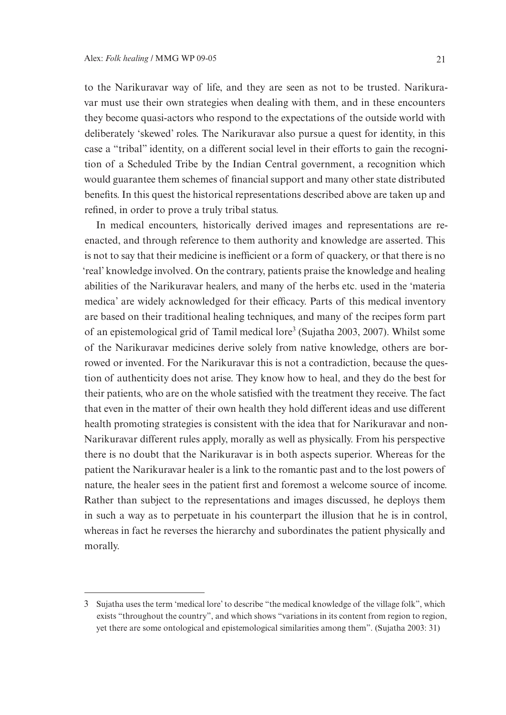to the Narikuravar way of life, and they are seen as not to be trusted. Narikuravar must use their own strategies when dealing with them, and in these encounters they become quasi-actors who respond to the expectations of the outside world with deliberately 'skewed' roles. The Narikuravar also pursue a quest for identity, in this case a "tribal" identity, on a different social level in their efforts to gain the recognition of a Scheduled Tribe by the Indian Central government, a recognition which would guarantee them schemes of financial support and many other state distributed benefits. In this quest the historical representations described above are taken up and refined, in order to prove a truly tribal status.

In medical encounters, historically derived images and representations are reenacted, and through reference to them authority and knowledge are asserted. This is not to say that their medicine is inefficient or a form of quackery, or that there is no 'real' knowledge involved. On the contrary, patients praise the knowledge and healing abilities of the Narikuravar healers, and many of the herbs etc. used in the 'materia medica' are widely acknowledged for their efficacy. Parts of this medical inventory are based on their traditional healing techniques, and many of the recipes form part of an epistemological grid of Tamil medical lore<sup>3</sup> (Sujatha 2003, 2007). Whilst some of the Narikuravar medicines derive solely from native knowledge, others are borrowed or invented. For the Narikuravar this is not a contradiction, because the question of authenticity does not arise. They know how to heal, and they do the best for their patients, who are on the whole satisfied with the treatment they receive. The fact that even in the matter of their own health they hold different ideas and use different health promoting strategies is consistent with the idea that for Narikuravar and non-Narikuravar different rules apply, morally as well as physically. From his perspective there is no doubt that the Narikuravar is in both aspects superior. Whereas for the patient the Narikuravar healer is a link to the romantic past and to the lost powers of nature, the healer sees in the patient first and foremost a welcome source of income. Rather than subject to the representations and images discussed, he deploys them in such a way as to perpetuate in his counterpart the illusion that he is in control, whereas in fact he reverses the hierarchy and subordinates the patient physically and morally.

<sup>3</sup> Sujatha uses the term 'medical lore' to describe "the medical knowledge of the village folk", which exists "throughout the country", and which shows "variations in its content from region to region, yet there are some ontological and epistemological similarities among them". (Sujatha 2003: 31)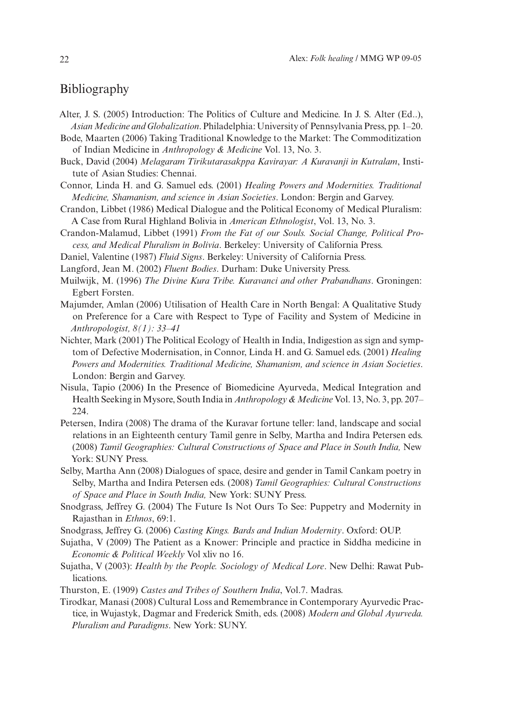### Bibliography

- Alter, J. S. (2005) Introduction: The Politics of Culture and Medicine. In J. S. Alter (Ed..), *Asian Medicine and Globalization*. Philadelphia: University of Pennsylvania Press, pp. 1–20.
- Bode, Maarten (2006) Taking Traditional Knowledge to the Market: The Commoditization of Indian Medicine in *Anthropology & Medicine* Vol. 13, No. 3.
- Buck, David (2004) *Melagaram Tirikutarasakppa Kavirayar: A Kuravanji in Kutralam*, Institute of Asian Studies: Chennai.
- Connor, Linda H. and G. Samuel eds. (2001) *Healing Powers and Modernities. Traditional Medicine, Shamanism, and science in Asian Societies*. London: Bergin and Garvey.
- Crandon, Libbet (1986) Medical Dialogue and the Political Economy of Medical Pluralism: A Case from Rural Highland Bolivia in *American Ethnologist*, Vol. 13, No. 3.
- Crandon-Malamud, Libbet (1991) *From the Fat of our Souls. Social Change, Political Process, and Medical Pluralism in Bolivia*. Berkeley: University of California Press.
- Daniel, Valentine (1987) *Fluid Signs*. Berkeley: University of California Press.
- Langford, Jean M. (2002) *Fluent Bodies*. Durham: Duke University Press.
- Muilwijk, M. (1996) *The Divine Kura Tribe. Kuravanci and other Prabandhans*. Groningen: Egbert Forsten.
- Majumder, Amlan (2006) Utilisation of Health Care in North Bengal: A Qualitative Study on Preference for a Care with Respect to Type of Facility and System of Medicine in *Anthropologist, 8(1): 33–41*
- Nichter, Mark (2001) The Political Ecology of Health in India, Indigestion as sign and symptom of Defective Modernisation, in Connor, Linda H. and G. Samuel eds. (2001) *Healing Powers and Modernities. Traditional Medicine, Shamanism, and science in Asian Societies*. London: Bergin and Garvey.
- Nisula, Tapio (2006) In the Presence of Biomedicine Ayurveda, Medical Integration and Health Seeking in Mysore, South India in *Anthropology & Medicine* Vol. 13, No. 3, pp. 207– 224.
- Petersen, Indira (2008) The drama of the Kuravar fortune teller: land, landscape and social relations in an Eighteenth century Tamil genre in Selby, Martha and Indira Petersen eds. (2008) *Tamil Geographies: Cultural Constructions of Space and Place in South India,* New York: SUNY Press.
- Selby, Martha Ann (2008) Dialogues of space, desire and gender in Tamil Cankam poetry in Selby, Martha and Indira Petersen eds. (2008) *Tamil Geographies: Cultural Constructions of Space and Place in South India,* New York: SUNY Press.
- Snodgrass, Jeffrey G. (2004) The Future Is Not Ours To See: Puppetry and Modernity in Rajasthan in *Ethnos*, 69:1.
- Snodgrass, Jeffrey G. (2006) *Casting Kings. Bards and Indian Modernity*. Oxford: OUP.
- Sujatha, V (2009) The Patient as a Knower: Principle and practice in Siddha medicine in *Economic & Political Weekly* Vol xliv no 16.
- Sujatha, V (2003): *Health by the People. Sociology of Medical Lore*. New Delhi: Rawat Publications.
- Thurston, E. (1909) *Castes and Tribes of Southern India*, Vol.7. Madras.
- Tirodkar, Manasi (2008) Cultural Loss and Remembrance in Contemporary Ayurvedic Practice, in Wujastyk, Dagmar and Frederick Smith, eds. (2008) *Modern and Global Ayurveda. Pluralism and Paradigms*. New York: SUNY.